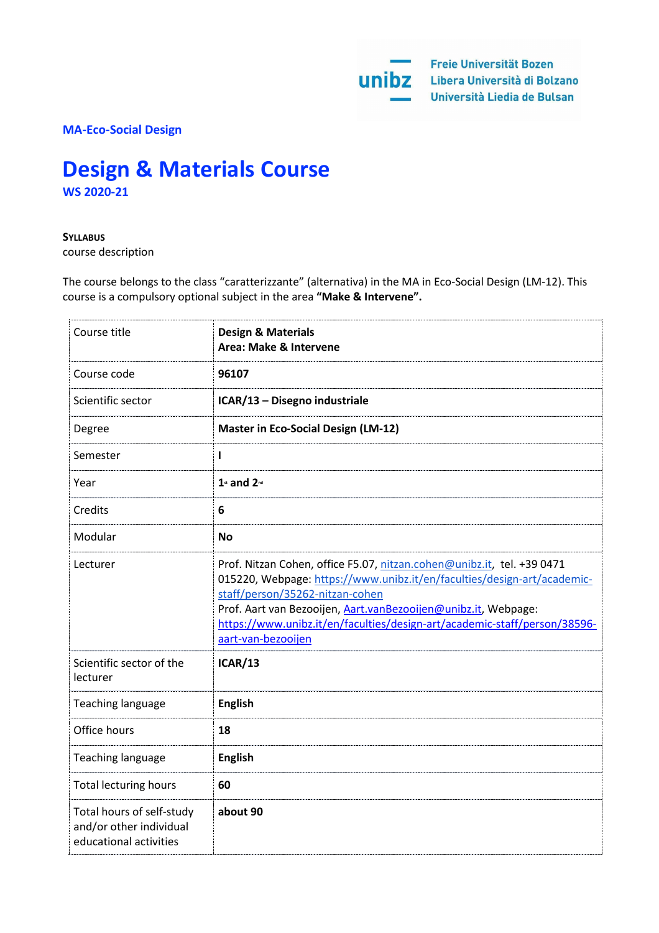**MA-Eco-Social Design**

# **Design & Materials Course WS 2020-21**

#### **SYLLABUS**

course description

The course belongs to the class "caratterizzante" (alternativa) in the MA in Eco-Social Design (LM-12). This course is a compulsory optional subject in the area **"Make & Intervene".**

| Course title                                                                   | <b>Design &amp; Materials</b><br>Area: Make & Intervene                                                                                                                                                                                                                                                                                                   |
|--------------------------------------------------------------------------------|-----------------------------------------------------------------------------------------------------------------------------------------------------------------------------------------------------------------------------------------------------------------------------------------------------------------------------------------------------------|
| Course code                                                                    | 96107                                                                                                                                                                                                                                                                                                                                                     |
| Scientific sector                                                              | ICAR/13 - Disegno industriale                                                                                                                                                                                                                                                                                                                             |
| Degree                                                                         | <b>Master in Eco-Social Design (LM-12)</b>                                                                                                                                                                                                                                                                                                                |
| Semester                                                                       |                                                                                                                                                                                                                                                                                                                                                           |
| Year                                                                           | $1$ st and $2$ <sup>nd</sup>                                                                                                                                                                                                                                                                                                                              |
| Credits                                                                        | 6                                                                                                                                                                                                                                                                                                                                                         |
| Modular                                                                        | <b>No</b>                                                                                                                                                                                                                                                                                                                                                 |
| Lecturer                                                                       | Prof. Nitzan Cohen, office F5.07, nitzan.cohen@unibz.it, tel. +39 0471<br>015220, Webpage: https://www.unibz.it/en/faculties/design-art/academic-<br>staff/person/35262-nitzan-cohen<br>Prof. Aart van Bezooijen, Aart.vanBezooijen@unibz.it, Webpage:<br>https://www.unibz.it/en/faculties/design-art/academic-staff/person/38596-<br>aart-van-bezooijen |
| Scientific sector of the<br>lecturer                                           | <b>ICAR/13</b>                                                                                                                                                                                                                                                                                                                                            |
| <b>Teaching language</b>                                                       | <b>English</b>                                                                                                                                                                                                                                                                                                                                            |
| Office hours                                                                   | 18                                                                                                                                                                                                                                                                                                                                                        |
| Teaching language                                                              | <b>English</b>                                                                                                                                                                                                                                                                                                                                            |
| <b>Total lecturing hours</b>                                                   | 60                                                                                                                                                                                                                                                                                                                                                        |
| Total hours of self-study<br>and/or other individual<br>educational activities | about 90                                                                                                                                                                                                                                                                                                                                                  |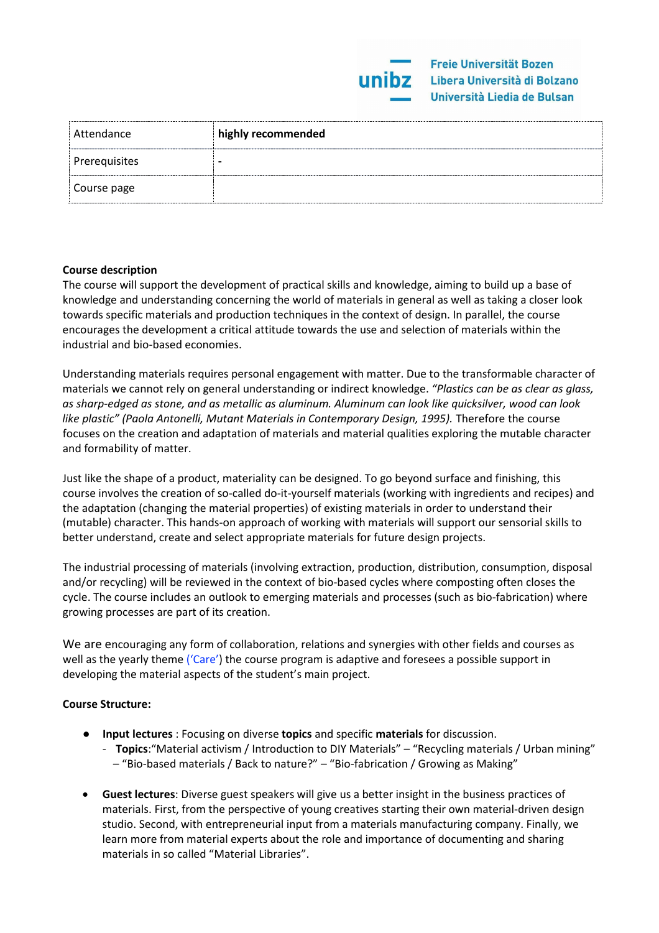| Attendance    | highly recommended |
|---------------|--------------------|
| Prerequisites |                    |
| Course page   |                    |

## **Course description**

The course will support the development of practical skills and knowledge, aiming to build up a base of knowledge and understanding concerning the world of materials in general as well as taking a closer look towards specific materials and production techniques in the context of design. In parallel, the course encourages the development a critical attitude towards the use and selection of materials within the industrial and bio-based economies.

Understanding materials requires personal engagement with matter. Due to the transformable character of materials we cannot rely on general understanding or indirect knowledge. *"Plastics can be as clear as glass, as sharp-edged as stone, and as metallic as aluminum. Aluminum can look like quicksilver, wood can look like plastic" (Paola Antonelli, Mutant Materials in Contemporary Design, 1995).* Therefore the course focuses on the creation and adaptation of materials and material qualities exploring the mutable character and formability of matter.

Just like the shape of a product, materiality can be designed. To go beyond surface and finishing, this course involves the creation of so-called do-it-yourself materials (working with ingredients and recipes) and the adaptation (changing the material properties) of existing materials in order to understand their (mutable) character. This hands-on approach of working with materials will support our sensorial skills to better understand, create and select appropriate materials for future design projects.

The industrial processing of materials (involving extraction, production, distribution, consumption, disposal and/or recycling) will be reviewed in the context of bio-based cycles where composting often closes the cycle. The course includes an outlook to emerging materials and processes (such as bio-fabrication) where growing processes are part of its creation.

We are encouraging any form of collaboration, relations and synergies with other fields and courses as well as the yearly theme ('Care') the course program is adaptive and foresees a possible support in developing the material aspects of the student's main project.

#### **Course Structure:**

- **Input lectures** : Focusing on diverse **topics** and specific **materials** for discussion.
	- **Topics**:"Material activism / Introduction to DIY Materials" "Recycling materials / Urban mining" – "Bio-based materials / Back to nature?" – "Bio-fabrication / Growing as Making"
- **Guest lectures**: Diverse guest speakers will give us a better insight in the business practices of materials. First, from the perspective of young creatives starting their own material-driven design studio. Second, with entrepreneurial input from a materials manufacturing company. Finally, we learn more from material experts about the role and importance of documenting and sharing materials in so called "Material Libraries".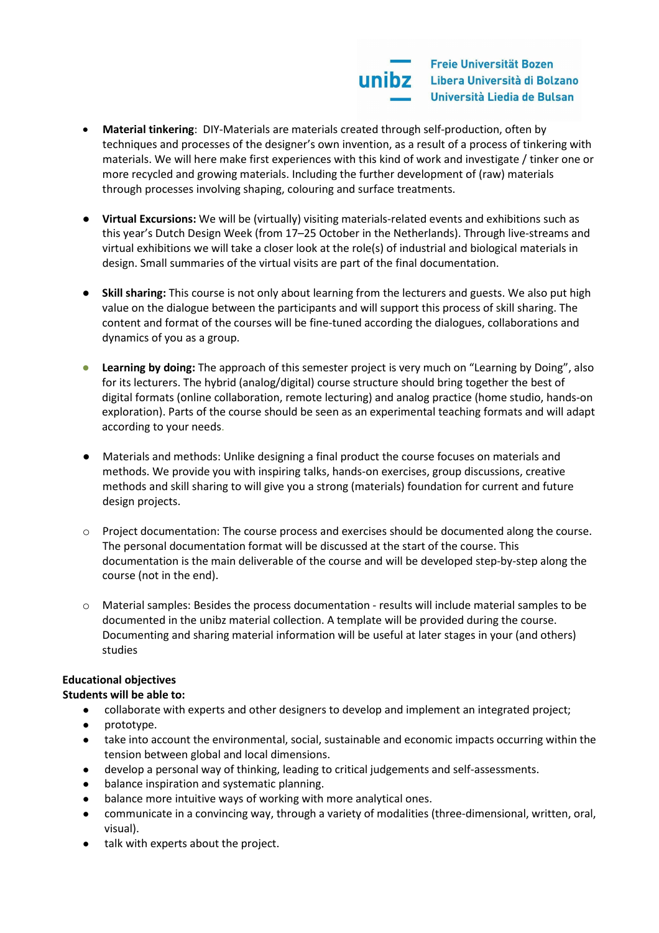

- **Material tinkering**: DIY-Materials are materials created through self-production, often by techniques and processes of the designer's own invention, as a result of a process of tinkering with materials. We will here make first experiences with this kind of work and investigate / tinker one or more recycled and growing materials. Including the further development of (raw) materials through processes involving shaping, colouring and surface treatments.
- **Virtual Excursions:** We will be (virtually) visiting materials-related events and exhibitions such as this year's Dutch Design Week (from 17–25 October in the Netherlands). Through live-streams and virtual exhibitions we will take a closer look at the role(s) of industrial and biological materials in design. Small summaries of the virtual visits are part of the final documentation.
- **Skill sharing:** This course is not only about learning from the lecturers and guests. We also put high value on the dialogue between the participants and will support this process of skill sharing. The content and format of the courses will be fine-tuned according the dialogues, collaborations and dynamics of you as a group.
- **Learning by doing:** The approach of this semester project is very much on "Learning by Doing", also for its lecturers. The hybrid (analog/digital) course structure should bring together the best of digital formats (online collaboration, remote lecturing) and analog practice (home studio, hands-on exploration). Parts of the course should be seen as an experimental teaching formats and will adapt according to your needs.
- Materials and methods: Unlike designing a final product the course focuses on materials and methods. We provide you with inspiring talks, hands-on exercises, group discussions, creative methods and skill sharing to will give you a strong (materials) foundation for current and future design projects.
- o Project documentation: The course process and exercises should be documented along the course. The personal documentation format will be discussed at the start of the course. This documentation is the main deliverable of the course and will be developed step-by-step along the course (not in the end).
- Material samples: Besides the process documentation results will include material samples to be documented in the unibz material collection. A template will be provided during the course. Documenting and sharing material information will be useful at later stages in your (and others) studies

# **Educational objectives**

# **Students will be able to:**

- collaborate with experts and other designers to develop and implement an integrated project;
- prototype.
- take into account the environmental, social, sustainable and economic impacts occurring within the tension between global and local dimensions.
- develop a personal way of thinking, leading to critical judgements and self-assessments.
- balance inspiration and systematic planning.
- balance more intuitive ways of working with more analytical ones.
- communicate in a convincing way, through a variety of modalities (three-dimensional, written, oral, visual).
- talk with experts about the project.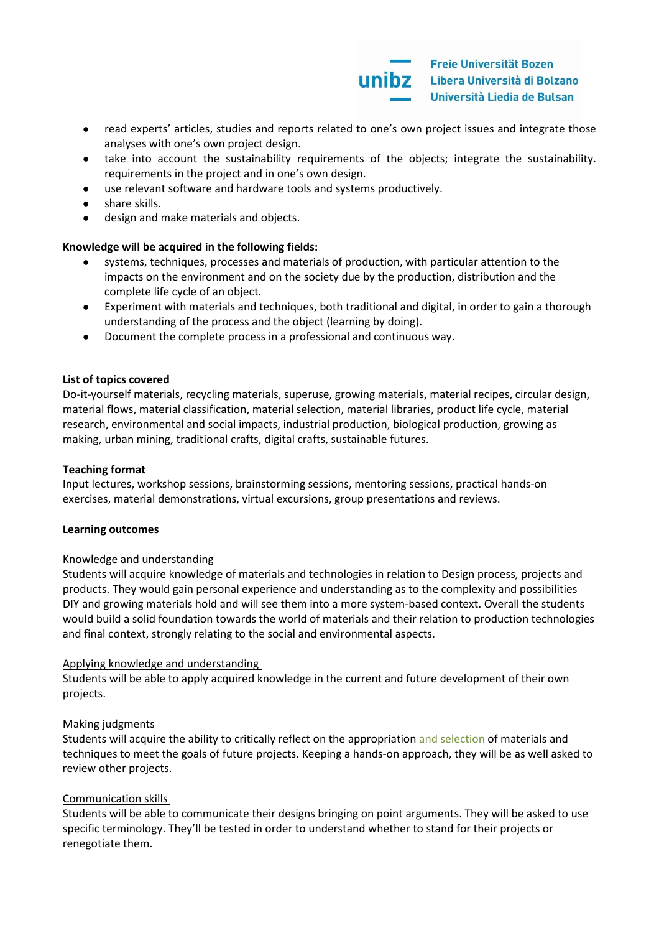

- read experts' articles, studies and reports related to one's own project issues and integrate those analyses with one's own project design.
- take into account the sustainability requirements of the objects; integrate the sustainability. requirements in the project and in one's own design.
- use relevant software and hardware tools and systems productively.
- share skills.
- design and make materials and objects.

#### **Knowledge will be acquired in the following fields:**

- systems, techniques, processes and materials of production, with particular attention to the impacts on the environment and on the society due by the production, distribution and the complete life cycle of an object.
- Experiment with materials and techniques, both traditional and digital, in order to gain a thorough understanding of the process and the object (learning by doing).
- Document the complete process in a professional and continuous way.

#### **List of topics covered**

Do-it-yourself materials, recycling materials, superuse, growing materials, material recipes, circular design, material flows, material classification, material selection, material libraries, product life cycle, material research, environmental and social impacts, industrial production, biological production, growing as making, urban mining, traditional crafts, digital crafts, sustainable futures.

#### **Teaching format**

Input lectures, workshop sessions, brainstorming sessions, mentoring sessions, practical hands-on exercises, material demonstrations, virtual excursions, group presentations and reviews.

#### **Learning outcomes**

#### Knowledge and understanding

Students will acquire knowledge of materials and technologies in relation to Design process, projects and products. They would gain personal experience and understanding as to the complexity and possibilities DIY and growing materials hold and will see them into a more system-based context. Overall the students would build a solid foundation towards the world of materials and their relation to production technologies and final context, strongly relating to the social and environmental aspects.

#### Applying knowledge and understanding

Students will be able to apply acquired knowledge in the current and future development of their own projects.

#### Making judgments

Students will acquire the ability to critically reflect on the appropriation and selection of materials and techniques to meet the goals of future projects. Keeping a hands-on approach, they will be as well asked to review other projects.

#### Communication skills

Students will be able to communicate their designs bringing on point arguments. They will be asked to use specific terminology. They'll be tested in order to understand whether to stand for their projects or renegotiate them.